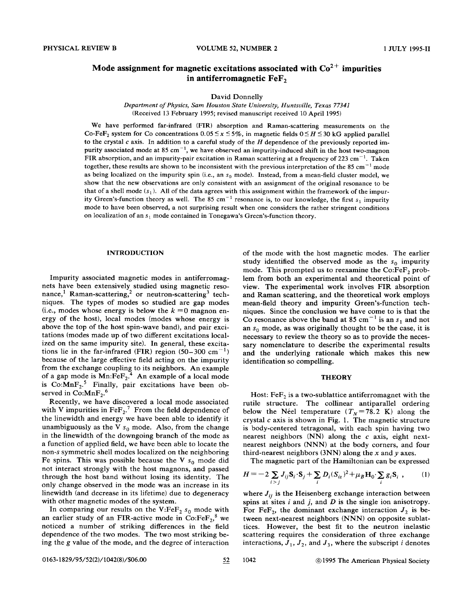# Mode assignment for magnetic excitations associated with  $\text{Co}^{2+}$  impurities in antiferromagnetic  $\text{FeF}_2$

David Donnelly

*Department ofPhysics, Sam Houston State University, Huntsville, Texas 77341* (Received 13 February 1995; revised manuscript received 10 April 1995)

We have performed far-infrared (FIR) absorption and Raman-scattering measurements on the Co-FeF<sub>2</sub> system for Co concentrations  $0.05 \le x \le 5\%$ , in magnetic fields  $0 \le H \le 30$  kG applied parallel to the crystal  $c$  axis. In addition to a careful study of the  $H$  dependence of the previously reported impurity associated mode at 85 cm<sup>-1</sup>, we have observed an impurity-induced shift in the host two-magnon FIR absorption, and an impurity-pair excitation in Raman scattering at a frequency of 223 cm<sup>-1</sup>. Taken together, these results are shown to be inconsistent with the previous interpretation of the 85 cm<sup>-1</sup> mode as being localized on the impurity spin (i.e., an  $s_0$  mode). Instead, from a mean-field cluster model, we show that the new observations are only consistent with an assignment of the original resonance to be that of a shell mode  $(s_1)$ . All of the data agrees with this assignment within the framework of the impurity Green's-function theory as well. The 85 cm<sup>-1</sup> resonance is, to our knowledge, the first  $s_1$  impurity mode to have been observed, a not surprising result when one considers the rather stringent conditions on localization of an  $s_1$  mode contained in Tonegawa's Green's-function theory.

## INTRODUCTION

Impurity associated magnetic modes in antiferromagnets have been extensively studied using magnetic resonance,<sup>1</sup> Raman-scattering,<sup>2</sup> or neutron-scattering<sup>3</sup> techniques. The types of modes so studied are gap modes (i.e., modes whose energy is below the  $k = 0$  magnon energy of the host), local modes (modes whose energy is above the top of the host spin-wave band), and pair excitations (modes made up of two different excitations localized on the same impurity site). In general, these excitations lie in the far-infrared (FIR) region  $(50-300 \text{ cm}^{-1})$ because of the large effective field acting on the impurity from the exchange coupling to its neighbors. An example of a gap mode is  $Mn:FeF<sub>2</sub>$ .<sup>4</sup> An example of a local mode is  $Co: MnF_2$ <sup>5</sup> Finally, pair excitations have been observed in Co: $MnF_2$ <sup>6</sup>

Recently, we have discovered a local mode associated with V impurities in  $\text{FeF}_2$ .<sup>7</sup> From the field dependence of the linewidth and energy we have been able to identify it unambiguously as the V  $s_0$  mode. Also, from the change in the linewidth of the downgoing branch of the mode as a function of applied field, we have been able to locate the non-s symmetric shell modes localized on the neighboring Fe spins. This was possible because the V  $s_0$  mode did not interact strongly with the host magnons, and passed through the host band without losing its identity. The only change observed in the mode was an increase in its linewidth (and decrease in its lifetime) due to degeneracy with other magnetic modes of the system.

In comparing our results on the V:Fe $F_2$   $s_0$  mode with an earlier study of an FIR-active mode in  $Co:FeF<sub>2</sub>$ <sup>8</sup> we noticed a number of striking differences in the field dependence of the two modes. The two most striking being the g value of the mode, and the degree of interaction of the mode with the host magnetic modes. The earlier study identified the observed mode as the  $s_0$  impurity mode. This prompted us to reexamine the  $Co:FeF<sub>2</sub>$  problem from both an experimental and theoretical point of view. The experimental work involves FIR absorption and Raman scattering, and the theoretical work employs mean-field theory and impurity Green's-function techniques. Since the conclusion we have come to is that the Co resonance above the band at 85 cm<sup>-1</sup> is an  $s_1$  and not an  $s_0$  mode, as was originally thought to be the case, it is necessary to review the theory so as to provide the necessary nomenclature to describe the experimental results and the underlying rationale which makes this new identification so compelling.

## **THEORY**

Host:  $FeF<sub>2</sub>$  is a two-sublattice antiferromagnet with the rutile structure. The collinear antiparallel ordering below the Néel temperature  $(T_N = 78.2 \text{ K})$  along the crystal  $c$  axis is shown in Fig. 1. The magnetic structure is body-centered tetragonal, with each spin having two nearest neighbors  $(NN)$  along the c axis, eight nextnearest neighbors (NNN) at the body corners, and four third-nearest neighbors (3NN) along the x and *y* axes.

The magnetic part of the Hamiltonian can be expressed

$$
H = -2\sum_{i>j} J_{ij} \mathbf{S}_i \cdot \mathbf{S}_j + \sum_i D_i (S_{iz})^2 + \mu_B \mathbf{H}_0 \cdot \sum_i g_i \mathbf{S}_i , \qquad (1)
$$

where  $J_{ij}$  is the Heisenberg exchange interaction between spins at sites i and j, and *D* is the single ion anisotropy. For FeF<sub>2</sub>, the dominant exchange interaction  $J_2$  is between next-nearest neighbors (NNN) on opposite sublattices. However, the best fit to the neutron inelastic scattering requires the consideration of three exchange interactions,  $J_1$ ,  $J_2$ , and  $J_3$ , where the subscript *i* denotes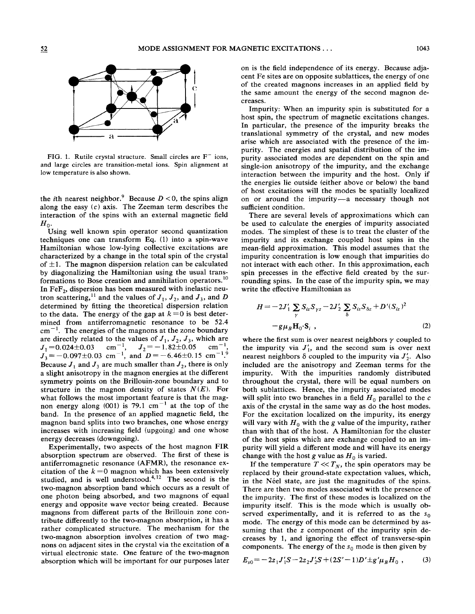

FIG. 1. Rutile crystal structure. Small circles are  $F^-$  ions, and large circles are transition-metal ions. Spin alignment at low temperature is also shown.

the *i*th nearest neighbor.<sup>9</sup> Because  $D < 0$ , the spins align along the easy  $(c)$  axis. The Zeeman term describes the interaction of the spins with an external magnetic field  $H_0$ .

Using well known spin operator second quantization techniques one can transform Eq. (I) into a spin-wave Hamiltonian whose low-lying collective excitations are characterized by a change in the total spin of the crystal of  $\pm 1$ . The magnon dispersion relation can be calculated by diagonalizing the Hamiltonian using the usual transformations to Bose creation and annihilation operators.<sup>10</sup> In Fe $F_2$ , dispersion has been measured with inelastic neutron scattering,<sup>11</sup> and the values of  $J_1$ ,  $J_2$ , and  $J_3$ , and D determined by fitting the theoretical dispersion relation to the data. The energy of the gap at  $k=0$  is best determined from antiferromagnetic resonance to be 52.4  $cm^{-1}$ . The energies of the magnons at the zone boundary are directly related to the values of  $J_1$ ,  $J_2$ ,  $J_3$ , which are  $J_1 = 0.024 \pm 0.03$  cm<sup>-1</sup>,  $J_2 = -1.82 \pm 0.05$  cm<sup>-1</sup>,<br>  $J_3 = -0.097 \pm 0.03$  cm<sup>-1</sup>, and  $D = -6.46 \pm 0.15$  cm<sup>-19</sup>. Because  $J_1$  and  $J_3$  are much smaller than  $J_2$ , there is only a slight anisotropy in the magnon energies at the different symmetry points on the Brillouin-zone boundary and to structure in the magnon density of states  $N(E)$ . For what follows the most important feature is that the magnon energy along (001) is 79.1  $cm^{-1}$  at the top of the band. In the presence of an applied magnetic field, the magnon band splits into two branches, one whose energy increases with increasing field (upgoing) and one whose energy decreases (downgoing).

Experimentally, two aspects of the host magnon FIR absorption spectrum are observed. The first of these is antiferromagnetic resonance (AFMR), the resonance excitation of the  $k=0$  magnon which has been extensively studied, and is well understood. $4,12$  The second is the two-magnon absorption band which occurs as a result of one photon being absorbed, and two magnons of equal energy and opposite wave vector being created. Because magnons from different parts of the Brillouin zone contribute differently to the two-magnon absorption, it has a rather complicated structure. The mechanism for the two-magnon absorption involves creation of two magnons on adjacent sites in the crystal via the excitation of a virtual electronic state. One feature of the two-magnon absorption which will be important for our purposes later on is the field independence of its energy. Because adjacent Fe sites are on opposite sublattices, the energy of one of the created magnons increases in an applied field by the same amount the energy of the second magnon decreases.

Impurity: When an impurity spin is substituted for a host spin, the spectrum of magnetic excitations changes. In particular, the presence of the impurity breaks the translational symmetry of the crystal, and new modes arise which are associated with the presence of the impurity. The energies and spatial distribution of the impurity associated modes are dependent on the spin and single-ion anisotropy of the impurity, and the exchange interaction between the impurity and the host. Only if the energies lie outside (either above or below) the band of host excitations will the modes be spatially localized on or around the impurity-a necessary though not sufficient condition.

There are several levels of approximations which can be used to calculate the energies of impurity associated modes. The simplest of these is to treat the cluster of the impurity and its exchange coupled host spins in the mean-field approximation. This model assumes that the impurity concentration is low enough that impurities do not interact with each other. In this approximation, each spin precesses in the effective field created by the surrounding spins. In the case of the impurity spin, we may write the effective Hamiltonian as

$$
H = -2J'_{1} \sum_{\gamma} S_{iz} S_{\gamma z} - 2J'_{2} \sum_{\delta} S_{iz} S_{\delta z} + D'(S_{iz})^{2}
$$
  
-g\mu\_{B} H\_{0} \cdot S\_{i} , (2)

where the first sum is over nearest neighbors  $\gamma$  coupled to the impurity via  $J'_1$ , and the second sum is over next nearest neighbors  $\delta$  coupled to the impurity via  $J'_{2}$ . Also included are the anisotropy and Zeeman terms for the impurity. With the impurities randomly distributed throughout the crystal, there will be equal numbers on both sublattices. Hence, the impurity associated modes will split into two branches in a field  $H_0$  parallel to the c axis of the crystal in the same way as do the host modes. For the excitation localized on the impurity, its energy will vary with  $H_0$  with the g value of the impurity, rather than with that of the host. A Hamiltonian for the cluster of the host spins which are exchange coupled to an impurity will yield a different mode and will have its energy change with the host g value as  $H_0$  is varied.

If the temperature  $T \ll T_N$ , the spin operators may be replaced by their ground-state expectation values, which, in the Néel state, are just the magnitudes of the spins. There are then two modes associated with the presence of the impurity. The first of these modes is localized on the impurity itself. This is the mode which is usually observed experimentally, and it is referred to as the  $s_0$ mode. The energy of this mode can be determined by assuming that the z component of the impurity spin decreases by I, and ignoring the effect of transverse-spin components. The energy of the  $s_0$  mode is then given by

$$
E_{s0} = -2z_1J_1'S - 2z_2J_2'S + (2S'-1)D' \pm g'\mu_B H_0 , \qquad (3)
$$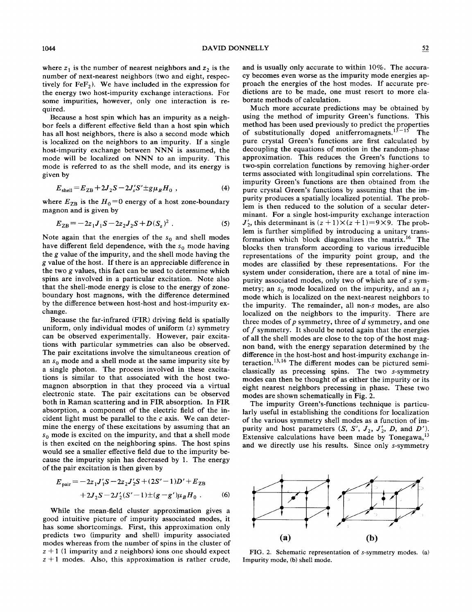where  $z_1$  is the number of nearest neighbors and  $z_2$  is the number of next-nearest neighbors (two and eight, respectively for  $\text{FeF}_2$ ). We have included in the expression for the energy two host-impurity exchange interactions. For some impurities, however, only one interaction is required.

Because a host spin which has an impurity as a neighbor feels a different effective field than a host spin which has all host neighbors, there is also a second mode which is localized on the neighbors to an impurity. If a single host-impurity exchange between NNN is assumed, the mode will be localized on NNN to an impurity. This mode is referred to as the shell mode, and its energy is given by

$$
E_{shell} = E_{ZB} + 2J_2S - 2J'_sS' \pm g\mu_B H_0 , \qquad (4)
$$

where  $E_{\text{ZB}}$  is the  $H_0$ =0 energy of a host zone-boundary magnon and is given by

$$
E_{ZB} = -2z_1J_1S - 2z_2J_2S + D(S_z)^2.
$$
 (5)

Note again that the energies of the  $s_0$  and shell modes have different field dependence, with the  $s_0$  mode having the *g* value of the impurity, and the shell mode having the g value of the host. If there is an appreciable difference in the two g values, this fact can be used to determine which spins are involved in a particular excitation. Note also that the shell-mode energy is close to the energy of zoneboundary host magnons, with the difference determined by the difference between host-host and host-impurity exchange.

Because the far-infrared (FIR) driving field is spatially uniform, only individual modes of uniform (s) symmetry can be observed experimentally. However, pair excitations with particular symmetries can also be observed. The pair excitations involve the simultaneous creation of an  $s_0$  mode and a shell mode at the same impurity site by a single photon. The process involved in these excitations is similar to that associated with the host twomagnon absorption in that they proceed via a virtual electronic state. The pair excitations can be observed both in Raman scattering and in FIR absorption. In FIR absorption, a component of the electric field of the incident light must be parallel to the  $c$  axis. We can determine the energy of these excitations by assuming that an  $s_0$  mode is excited on the impurity, and that a shell mode is then excited on the neighboring spins. The host spins would see a smaller effective field due to the impurity because the impurity spin has decreased by 1. The energy of the pair excitation is then given by

$$
E_{\text{pair}} = -2z_1J_1'S - 2z_2J_2'S + (2S' - 1)D' + E_{\text{ZB}} + 2J_2S - 2J_2'(S' - 1) \pm (g - g')\mu_B H_0.
$$
 (6)

While the mean-field cluster approximation gives a good intuitive picture of impurity associated modes, it has some shortcomings. First, this approximation only predicts two (impurity and shell) impurity associated modes whereas from the number of spins in the cluster of  $z + 1$  (1 impurity and z neighbors) ions one should expect  $z + 1$  modes. Also, this approximation is rather crude, and is usually only accurate to within 10%. The accuracy becomes even worse as the impurity mode energies approach the energies of the host modes. If accurate predictions are to be made, one must resort to more elaborate methods of calculation.

Much more accurate predictions may be obtained by using the method of impurity Green's functions. This method has been used previously to predict the properties of substitutionally doped anitferromagnets.  $15 - 15$  The pure crystal Green's functions are first calculated by decoupling the equations of motion in the random-phase approximation. This reduces the Green's functions to two-spin correlation functions by removing higher-order terms associated with longitudinal spin correlations. The impurity Green's functions are then obtained from the pure crystal Green's functions by assuming that the impurity produces a spatially localized potential. The problem is then reduced to the solution of a secular determinant. For a single host-impurity exchange interaction  $J'_2$ , this determinant is  $(z + 1) \times (z + 1) = 9 \times 9$ . The problem is further simplified by introducing a unitary transformation which block diagonalizes the matrix.<sup>16</sup> The blocks then transform according to various irreducible representations of the impurity point group, and the modes are classified by these representations. For the system under consideration, there are a total of nine impurity associated modes, only two of which are of s symmetry; an  $s_0$  mode localized on the impurity, and an  $s_1$ mode which is localized on the next-nearest neighbors to the impurity. The remainder, all non-s modes, are also localized on the neighbors to the impurity. There are three modes of *p* symmetry, three of *d* symmetry, and one of  $f$  symmetry. It should be noted again that the energies of all the shell modes are close to the top of the host magnon band, with the energy separation determined by the difference in the host-host and host-impurity exchange interaction. 13,16 The different modes can be pictured semiclassically as precessing spins. The two s-symmetry modes can then be thought of as either the impurity or its eight nearest neighbors precessing in phase. These two modes are shown schematically in Fig. 2.

The impurity Green's-functions technique is particularly useful in establishing the conditions for localization of the various symmetry shell modes as a function of impurity and host parameters  $(S, S', J_2, J'_2, D, \text{ and } D').$ Extensive calculations have been made by Tonegawa,<sup>13</sup> and we directly use his results. Since only s-symmetry



FIG. 2. Schematic representation of s-symmetry modes. (a) Impurity mode, (b) shell mode.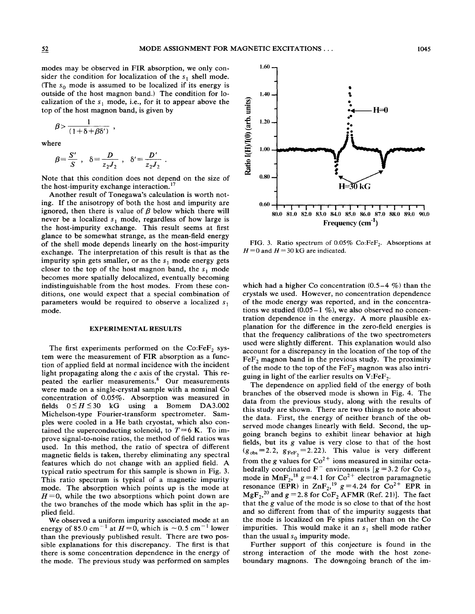modes may be observed in FIR absorption, we only consider the condition for localization of the  $s_1$  shell mode. (The  $s_0$  mode is assumed to be localized if its energy is outside of the host magnon band.) The condition for localization of the  $s_1$  mode, i.e., for it to appear above the top of the host magnon band, is given by

$$
\beta > \frac{1}{(1+\delta+\beta\delta')} ,
$$

where

$$
\beta = \frac{S'}{S}
$$
,  $\delta = \frac{D}{z_2 J_2}$ ,  $\delta' = \frac{D'}{z_2 J_2}$ 

Note that this condition does not depend on the size of the host-impurity exchange interaction.<sup>17</sup>

Another result of Tonegawa's calculation is worth noting. If the anisotropy of both the host and impurity are ignored, then there is value of  $\beta$  below which there will never be a localized  $s_1$  mode, regardless of how large is the host-impurity exchange. This result seems at first glance to be somewhat strange, as the mean-field energy of the shell mode depends linearly on the host-impurity exchange. The interpretation of this result is that as the impurity spin gets smaller, or as the  $s_1$  mode energy gets closer to the top of the host magnon band, the  $s_1$  mode becomes more spatially delocalized, eventually becoming indistinguishable from the host modes. From these conditions, one would expect that a special combination of parameters would be required to observe a localized  $s_1$ mode.

#### **EXPERIMENTAL RESULTS**

The first experiments performed on the Co:FeF, system were the measurement of FIR absorption as a function of applied field at normal incidence with the incident light propagating along the  $c$  axis of the crystal. This repeated the earlier measurements.<sup>8</sup> Our measurements were made on a single-crystal sample with a nominal Co concentration of 0.05%. Absorption was measured in fields  $0 \le H \le 30$  kG using a Bomem DA3.002 Michelson-type Fourier-transform spectrometer. Samples were cooled in a He bath cryostat, which also contained the superconducting solenoid, to  $T=6$  K. To improve signal-to-noise ratios, the method of field ratios was used. In this method, the ratio of spectra of different magnetic fields is taken, thereby eliminating any spectral features which do not change with an applied field. A typical ratio spectrum for this sample is shown in Fig. 3. This ratio spectrum is typical of a magnetic impurity mode. The absorption which points up is the mode at  $H=0$ , while the two absorptions which point down are the two branches of the mode which has split in the applied field.

We observed a uniform impurity associated mode at an energy of 85.0 cm<sup>-1</sup> at  $H=0$ , which is  $\sim 0.5$  cm<sup>-1</sup> lower than the previously published result. There are two possible explanations for this discrepancy. The first is that there is some concentration dependence in the energy of the mode. The previous study was performed on samples



FIG. 3. Ratio spectrum of 0.05% Co:FeF<sub>2</sub>. Absorptions at  $H=0$  and  $H=30$  kG are indicated.

which had a higher Co concentration  $(0.5-4\%)$  than the crystals we used. However, no concentration dependence of the mode energy was reported, and in the concentrations we studied  $(0.05-1\%)$ , we also observed no concentration dependence in the energy. A more plausible explanation for the difference in the zero-field energies is that the frequency calibrations of the two spectrometers used were slightly different. This explanation would also account for a discrepancy in the location of the top of the  $\text{FeF}_2$  magnon band in the previous study. The proximity of the mode to the top of the  $\text{FeF}_2$  magnon was also intriguing in light of the earlier results on  $V:FeF<sub>2</sub>$ .

The dependence on applied field of the energy of both branches of the observed mode is shown in Fig. 4. The data from the previous study, along with the results of this study are shown. There are two things to note about the data. First, the energy of neither branch of the observed mode changes linearly with field. Second, the upgoing branch begins to exhibit linear behavior at high fields, but its g value is very close to that of the host  $(g_{obs} = 2.2, g_{FeF<sub>2</sub>} = 2.22)$ . This value is very different from the g values for  $Co^{2+}$  ions measured in similar octahedrally coordinated F<sup>-</sup> environments  $[g = 3.2$  for Co s<sub>0</sub><br>mode in MnF<sub>2</sub>,<sup>18</sup> g = 4.1 for Co<sup>2+</sup> electron paramagnetic resonance (EPR) in  $\text{ZnF}_2$ ,<sup>19</sup> g = 4.24 for Co<sup>2+</sup> EPR in<br>MgF<sub>2</sub>,<sup>20</sup> and g = 2.8 for CoF<sub>2</sub> AFMR (Ref. 21)]. The fact that the g value of the mode is so close to that of the host and so different from that of the impurity suggests that the mode is localized on Fe spins rather than on the Co impurities. This would make it an  $s_1$  shell mode rather than the usual  $s_0$  impurity mode.

Further support of this conjecture is found in the strong interaction of the mode with the host zoneboundary magnons. The downgoing branch of the im-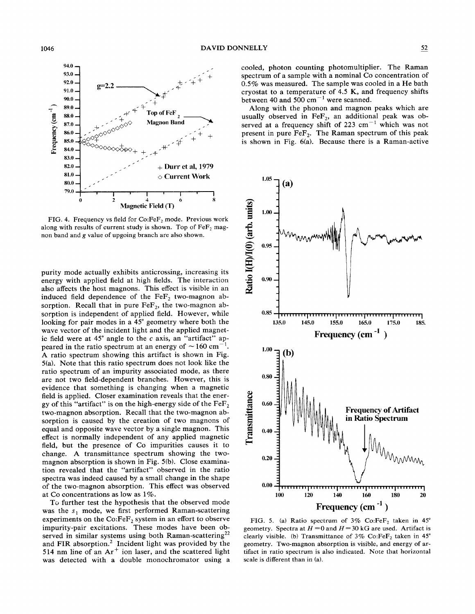

FIG. 4. Frequency vs field for Co:FeF<sub>2</sub> mode. Previous work along with results of current study is shown. Top of  $FeF<sub>2</sub>$  magnon band and g value of upgoing branch are also shown.

purity mode actually exhibits anticrossing, increasing its energy with applied field at high fields. The interaction also affects the host magnons. This effect is visible in an induced field dependence of the  $FeF<sub>2</sub>$  two-magnon absorption. Recall that in pure  $\text{FeF}_2$ , the two-magnon absorption is independent of applied field. However, while looking for pair modes in a 45° geometry where both the wave vector of the incident light and the applied magnetic field were at  $45^\circ$  angle to the c axis, an "artifact" appeared in the ratio spectrum at an energy of  $\sim 160 \text{ cm}^{-1}$ . A ratio spectrum showing this artifact is shown in Fig. 5(a). Note that this ratio spectrum does not look like the ratio spectrum of an impurity associated mode, as there are not two field-dependent branches. However, this is evidence that something is changing when a magnetic field is applied. Closer examination reveals that the energy of this "artifact" is on the high-energy side of the  $\text{FeF}_2$ two-magnon absorption. Recall that the two-magnon absorption is caused by the creation of two magnons of equal and opposite wave vector by a single magnon. This effect is normally independent of any applied magnetic field, but the presence of Co impurities causes it to change. A transmittance spectrum showing the twomagnon absorption is shown in Fig. 5(b). Close examination revealed that the "artifact" observed in the ratio spectra was indeed caused by a small change in the shape of the two-magnon absorption. This effect was observed at Co concentrations as low as 1%.

To further test the hypothesis that the observed mode was the  $s_1$  mode, we first performed Raman-scattering experiments on the  $Co:FeF<sub>2</sub>$  system in an effort to observe impurity-pair excitations. These modes have been observed in similar systems using both Raman-scattering<sup>22</sup> and FIR absorption. $2$  Incident light was provided by the 514 nm line of an  $Ar^+$  ion laser, and the scattered light was detected with a double monochromator using a cooled, photon counting photomultiplier. The Raman spectrum of a sample with a nominal Co concentration of 0.5% was measured. The sample was cooled in a He bath cryostat to a temperature of 4.5 K, and frequency shifts between 40 and 500  $\text{cm}^{-1}$  were scanned.

Along with the phonon and magnon peaks which are usually observed in  $FeF<sub>2</sub>$ , an additional peak was observed at a frequency shift of 223 cm<sup>-1</sup> which was not present in pure  $FeF<sub>2</sub>$ . The Raman spectrum of this peak is shown in Fig. 6(a). Because there is a Raman-active



FIG. 5. (a) Ratio spectrum of  $3\%$  Co:FeF<sub>2</sub> taken in  $45^\circ$ geometry. Spectra at  $H = 0$  and  $H = 30$  kG are used. Artifact is clearly visible. (b) Transmittance of  $3\%$  Co:FeF<sub>2</sub> taken in  $45^\circ$ geometry. Two-magnon absorption is visible, and energy of artifact in ratio spectrum is also indicated. Note that horizontal scale is different than in (a).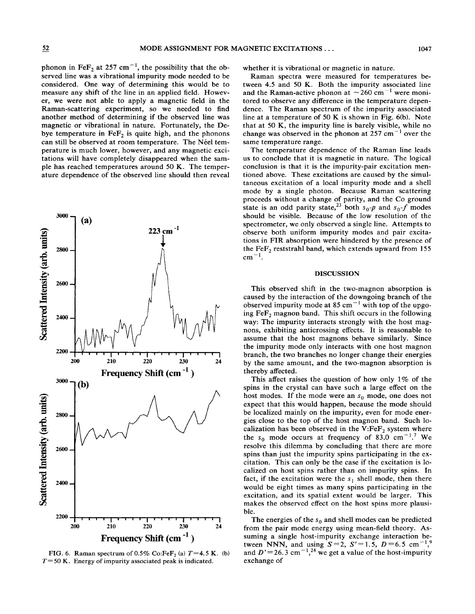phonon in FeF<sub>2</sub> at 257 cm<sup>-1</sup>, the possibility that the observed line was a vibrational impurity mode needed to be considered. One way of determining this would be to measure any shift of the line in an applied field. However, we were not able to apply a magnetic field in the Raman-scattering experiment, so we needed to find another method of determining if the observed line was magnetic or vibrational in nature. Fortunately, the Debye temperature in  $\text{FeF}_2$  is quite high, and the phonons can still be observed at room temperature. The Néel temperature is much lower, however, and any magnetic excitations will have completely disappeared when the sample has reached temperatures around 50 K. The temperature dependence of the observed line should then reveal



FIG. 6. Raman spectrum of 0.5% Co:FeF<sub>2</sub> (a)  $T=4.5$  K. (b) *T=50* K. Energy of impurity associated peak is indicated.

whether it is vibrational or magnetic in nature.

Raman spectra were measured for temperatures between 4.5 and 50 K. Both the impurity associated line and the Raman-active phonon at  $\sim$  260 cm<sup>-1</sup> were monitored to observe any difference in the temperature dependence. The Raman spectrum of the impurity associated line at a temperature of 50 K is shown in Fig. 6(b). Note that at 50 K, the impurity line is barely visible, while no change was observed in the phonon at 257 cm<sup> $-1$ </sup> over the same temperature range.

The temperature dependence of the Raman line leads us to conclude that it is magnetic in nature. The logical conclusion is that it is the impurity-pair excitation mentioned above. These excitations are caused by the simultaneous excitation of a local impurity mode and a shell mode by a single photon. Because Raman scattering proceeds without a change of parity, and the Co ground state is an odd parity state,<sup>23</sup> both  $s_0-p$  and  $s_0-f$  modes should be visible. Because of the low resolution of the spectrometer, we only observed a single line. Attempts to observe both uniform impurity modes and pair excitations in FIR absorption were hindered by the presence of the  $FeF<sub>2</sub>$  reststrahl band, which extends upward from 155  $cm^{-1}$ .

## DISCUSSION

This observed shift in the two-magnon absorption is caused by the interaction of the downgoing branch of the observed impurity mode at 85 cm<sup>-1</sup> with top of the upgoing  $FeF<sub>2</sub>$  magnon band. This shift occurs in the following way: The impurity interacts strongly with the host magnons, exhibiting anticrossing effects. It is reasonable to assume that the host magnons behave similarly. Since the impurity mode only interacts with one host magnon branch, the two branches no longer change their energies by the same amount, and the two-magnon absorption is thereby affected.

This affect raises the question of how only  $1\%$  of the spins in the crystal can have such a large effect on the host modes. If the mode were an  $s_0$  mode, one does not expect that this would happen, because the mode should be localized mainly on the impurity, even for mode energies close to the top of the host magnon band. Such localization has been observed in the  $V:FeF<sub>2</sub>$  system where the  $s_0$  mode occurs at frequency of 83.0 cm<sup>-1</sup>.<sup>7</sup> We resolve this dilemma by concluding that there are more spins than just the impurity spins participating in the excitation. This can only be the case if the excitation is localized on host spins rather than on impurity spins. In fact, if the excitation were the  $s_1$  shell mode, then there would be eight times as many spins participating in the excitation, and its spatial extent would be larger. This makes the observed effect on the host spins more plausible.

The energies of the  $s_0$  and shell modes can be predicted from the pair mode energy using mean-field theory. Assuming a single host-impurity exchange interaction between NNN, and using  $S = 2$ ,  $S' = 1.5$ ,  $D = 6.5$  cm<sup>-1,9</sup> and  $D' = 26.3$  cm<sup>-1</sup>,<sup>24</sup> we get a value of the host-impurity exchange of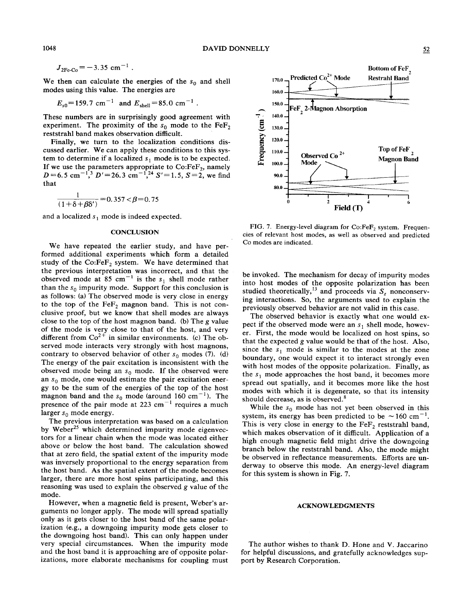$$
J_{2Fe-C_0} = -3.35
$$
 cm<sup>-1</sup>

We then can calculate the energies of the  $s_0$  and shell modes using this value. The energies are

$$
E_{s0}
$$
=159.7 cm<sup>-1</sup> and  $E_{shell}$ =85.0 cm<sup>-1</sup>

These numbers are in surprisingly good agreement with experiment. The proximity of the  $s_0$  mode to the FeF, reststrahl band makes observation difficult.

Finally, we turn to the localization conditions discussed earlier. We can apply these conditions to this system to determine if a localized  $s_1$  mode is to be expected. If we use the parameters appropriate to  $Co:FeF<sub>2</sub>$ , namely  $D=6.5$  cm<sup>-1</sup>,<sup>3</sup>  $D' = 26.3$  cm<sup>-1</sup>,<sup>24</sup>  $S' = 1.5$ ,  $S = 2$ , we find that

$$
\frac{1}{(1+\delta+\beta\delta')}=0.357 < \beta=0.75
$$

and a localized  $s_1$  mode is indeed expected.

#### **CONCLUSION**

We have repeated the earlier study, and have performed additional experiments which form a detailed study of the  $Co:FeF_2$  system. We have determined that the previous interpretation was incorrect, and that the observed mode at 85 cm<sup>-1</sup> is the  $s_1$  shell mode rather than the  $s_0$  impurity mode. Support for this conclusion is as follows: (a) The observed mode is very close in energy to the top of the  $\text{FeF}_2$  magnon band. This is not conclusive proof, but we know that shell modes are always close to the top of the host magnon band. (b) The g value of the mode is very close to that of the host, and very different from  $Co^{2+}$  in similar environments. (c) The observed mode interacts very strongly with host magnons, contrary to observed behavior of other  $s_0$  modes (7). (d) The energy of the pair excitation is inconsistent with the observed mode being an  $s_0$  mode. If the observed were an  $s_0$  mode, one would estimate the pair excitation energy to be the sum of the energies of the top of the host magnon band and the  $s_0$  mode (around 160 cm<sup>-1</sup>). The presence of the pair mode at 223 cm<sup> $-1$ </sup> requires a much larger  $s_0$  mode energy.

The previous interpretation was based on a calculation by Weber<sup>25</sup> which determined impurity mode eigenvectors for a linear chain when the mode was located either above or below the host band. The calculation showed that at zero field, the spatial extent of the impurity mode was inversely proportional to the energy separation from the host band. As the spatial extent of the mode becomes larger, there are more host spins participating, and this reasoning was used to explain the observed g value of the mode.

However, when a magnetic field is present, Weber's arguments no longer apply. The mode will spread spatially only as it gets closer to the host band of the same polarization (e.g., a downgoing impurity mode gets closer to the downgoing host band). This can only happen under very special circumstances. When the impurity mode and the host band it is approaching are of opposite polarizations, more elaborate mechanisms for coupling must



Predicted Co<sup>2+</sup> Mode

FeF 2-Magnon Absorption

170.0

160.0 150.0

 $140.0$ 

130.0

120.0

110.0

FIG. 7. Energy-level diagram for Co:FeF<sub>2</sub> system. Frequencies of relevant host modes, as well as observed and predicted Co modes are indicated.

be invoked. The mechanism for decay of impurity modes into host modes of the opposite polarization has been studied theoretically,<sup>13</sup> and proceeds via  $S_z$  nonconserving interactions. So, the arguments used to explain the previously observed behavior are not valid in this case.

The observed behavior is exactly what one would expect if the observed mode were an  $s_1$  shell mode, however. First, the mode would be localized on host spins, so that the expected g value would be that of the host. Also, since the  $s_1$  mode is similar to the modes at the zone boundary, one would expect it to interact strongly even with host modes of the opposite polarization. Finally, as the  $s_1$  mode approaches the host band, it becomes more spread out spatially, and it becomes more like the host modes with which it is degenerate, so that its intensity should decrease, as is observed.<sup>8</sup>

While the  $s_0$  mode has not yet been observed in this system, its energy has been predicted to be  $\sim 160$  cm<sup>-1</sup>. This is very close in energy to the  $\text{FeF}_2$  reststrahl band, which makes observation of it difficult. Application of a high enough magnetic field might drive the downgoing branch below the reststrahl band. Also, the mode might be observed in reflectance measurements. Efforts are underway to observe this mode. An energy-level diagram for this system is shown in Fig. 7.

### **ACKNOWLEDGMENTS**

The author wishes to thank D. Hone and V. Jaccarino for helpful discussions, and gratefully acknowledges support by Research Corporation.

Bottom of FeF

**Restrahl Band** 

Top of FeF $,$ 

1048